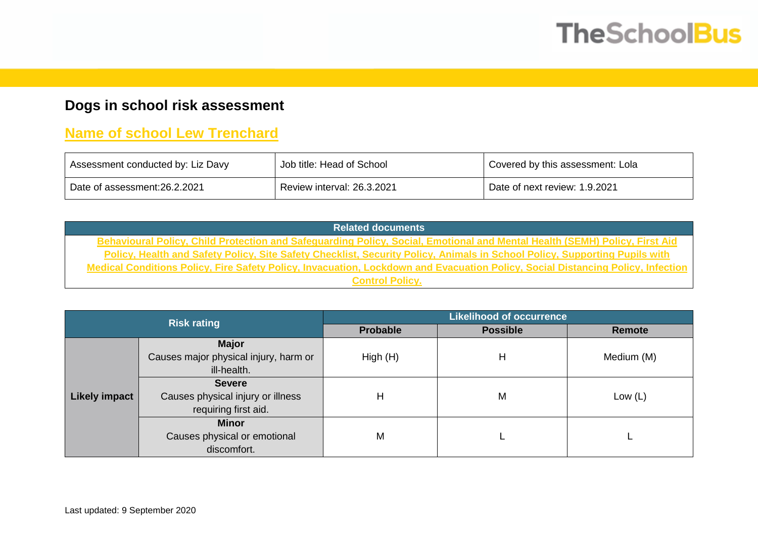## **TheSchoolBus**

## **Dogs in school risk assessment**

## **Name of school Lew Trenchard**

| Assessment conducted by: Liz Davy | Job title: Head of School  | Covered by this assessment: Lola |
|-----------------------------------|----------------------------|----------------------------------|
| Date of assessment:26.2.2021      | Review interval: 26.3.2021 | Date of next review: 1.9.2021    |

**Related documents Behavioural Policy, Child Protection and Safeguarding Policy, Social, Emotional and Mental Health (SEMH) Policy, First Aid Policy, Health and Safety Policy, Site Safety Checklist, Security Policy, Animals in School Policy, Supporting Pupils with Medical Conditions Policy, Fire Safety Policy, Invacuation, Lockdown and Evacuation Policy, Social Distancing Policy, Infection Control Policy.**

|                      | <b>Risk rating</b>                    | <b>Likelihood of occurrence</b> |                 |            |  |  |  |
|----------------------|---------------------------------------|---------------------------------|-----------------|------------|--|--|--|
|                      |                                       | <b>Probable</b>                 | <b>Possible</b> | Remote     |  |  |  |
|                      | <b>Major</b>                          |                                 |                 |            |  |  |  |
|                      | Causes major physical injury, harm or | High(H)                         | н               | Medium (M) |  |  |  |
|                      | ill-health.                           |                                 |                 |            |  |  |  |
|                      | <b>Severe</b>                         |                                 |                 |            |  |  |  |
| <b>Likely impact</b> | Causes physical injury or illness     | Н                               | M               | Low $(L)$  |  |  |  |
|                      | requiring first aid.                  |                                 |                 |            |  |  |  |
|                      | <b>Minor</b>                          |                                 |                 |            |  |  |  |
|                      | Causes physical or emotional          | M                               |                 |            |  |  |  |
|                      | discomfort.                           |                                 |                 |            |  |  |  |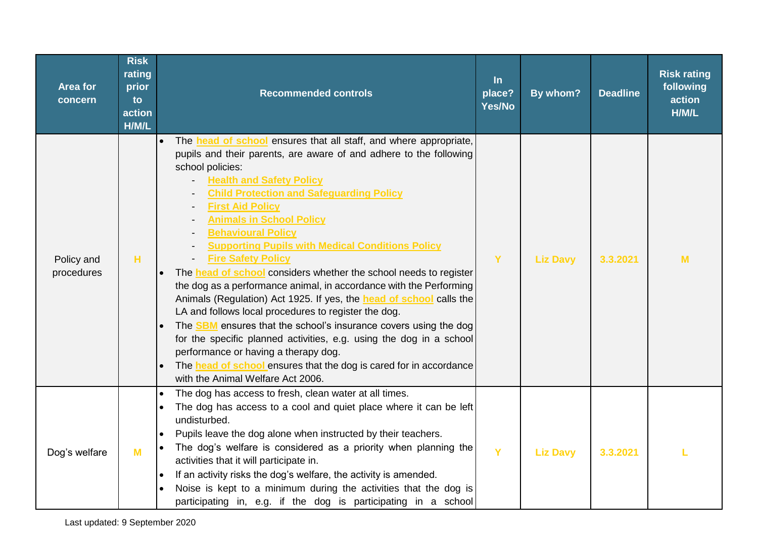| Area for<br>concern      | <b>Risk</b><br>rating<br>prior<br>to<br>action<br>H/M/L | <b>Recommended controls</b>                                                                                                                                                                                                                                                                                                                                                                                                                                                                                                                                                                                                                                                                                                                                                                                                                                                                                                                                                                                                              | $\ln$<br>place?<br>Yes/No | By whom?        | <b>Deadline</b> | <b>Risk rating</b><br>following<br>action<br>H/M/L |
|--------------------------|---------------------------------------------------------|------------------------------------------------------------------------------------------------------------------------------------------------------------------------------------------------------------------------------------------------------------------------------------------------------------------------------------------------------------------------------------------------------------------------------------------------------------------------------------------------------------------------------------------------------------------------------------------------------------------------------------------------------------------------------------------------------------------------------------------------------------------------------------------------------------------------------------------------------------------------------------------------------------------------------------------------------------------------------------------------------------------------------------------|---------------------------|-----------------|-----------------|----------------------------------------------------|
| Policy and<br>procedures | H                                                       | The <b>head of school</b> ensures that all staff, and where appropriate,<br>pupils and their parents, are aware of and adhere to the following<br>school policies:<br><b>Health and Safety Policy</b><br><b>Child Protection and Safeguarding Policy</b><br><b>First Aid Policy</b><br><b>Animals in School Policy</b><br><b>Behavioural Policy</b><br><b>Supporting Pupils with Medical Conditions Policy</b><br><b>Fire Safety Policy</b><br>The <b>head of school</b> considers whether the school needs to register<br>the dog as a performance animal, in accordance with the Performing<br>Animals (Regulation) Act 1925. If yes, the <b>head of school</b> calls the<br>LA and follows local procedures to register the dog.<br>The <b>SBM</b> ensures that the school's insurance covers using the dog<br>for the specific planned activities, e.g. using the dog in a school<br>performance or having a therapy dog.<br>The head of school ensures that the dog is cared for in accordance<br>with the Animal Welfare Act 2006. | Y                         | <b>Liz Davy</b> | 3.3.2021        | M                                                  |
| Dog's welfare            | M                                                       | The dog has access to fresh, clean water at all times.<br>The dog has access to a cool and quiet place where it can be left<br>undisturbed.<br>Pupils leave the dog alone when instructed by their teachers.<br>The dog's welfare is considered as a priority when planning the<br>activities that it will participate in.<br>If an activity risks the dog's welfare, the activity is amended.<br>Noise is kept to a minimum during the activities that the dog is<br>participating in, e.g. if the dog is participating in a school                                                                                                                                                                                                                                                                                                                                                                                                                                                                                                     | Y                         | <b>Liz Davy</b> | 3.3.2021        |                                                    |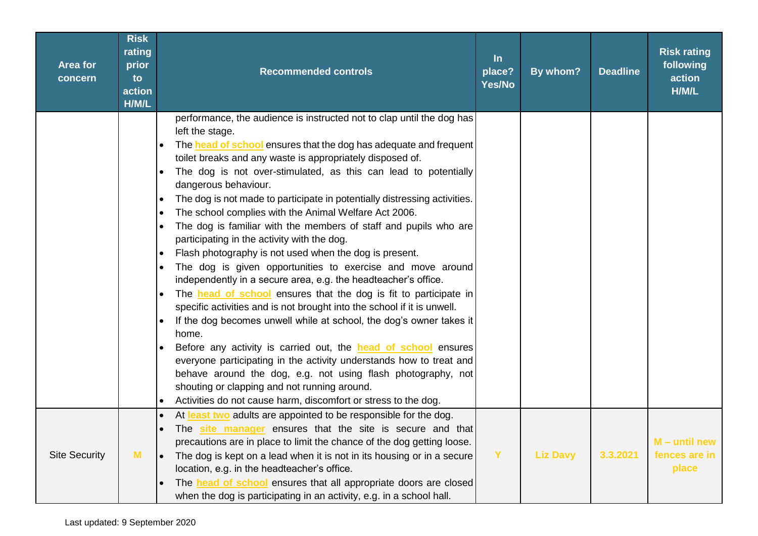| <b>Area for</b><br>concern | <b>Risk</b><br>rating<br>prior<br>to<br>action<br>H/M/L | <b>Recommended controls</b>                                                                                                                                                                                                                                                                                                                                                                                                                                                                                                                                                                                                                                                                                                                                                                                                                                                                                                                                                                                                                                                                                                                                                                                                                                                                                                                                   | $\ln$<br>place?<br>Yes/No | By whom?        | <b>Deadline</b> | <b>Risk rating</b><br>following<br>action<br>H/M/L |
|----------------------------|---------------------------------------------------------|---------------------------------------------------------------------------------------------------------------------------------------------------------------------------------------------------------------------------------------------------------------------------------------------------------------------------------------------------------------------------------------------------------------------------------------------------------------------------------------------------------------------------------------------------------------------------------------------------------------------------------------------------------------------------------------------------------------------------------------------------------------------------------------------------------------------------------------------------------------------------------------------------------------------------------------------------------------------------------------------------------------------------------------------------------------------------------------------------------------------------------------------------------------------------------------------------------------------------------------------------------------------------------------------------------------------------------------------------------------|---------------------------|-----------------|-----------------|----------------------------------------------------|
|                            |                                                         | performance, the audience is instructed not to clap until the dog has<br>left the stage.<br>The head of school ensures that the dog has adequate and frequent<br>toilet breaks and any waste is appropriately disposed of.<br>The dog is not over-stimulated, as this can lead to potentially<br>dangerous behaviour.<br>The dog is not made to participate in potentially distressing activities.<br>The school complies with the Animal Welfare Act 2006.<br>The dog is familiar with the members of staff and pupils who are<br>participating in the activity with the dog.<br>Flash photography is not used when the dog is present.<br>$\bullet$<br>The dog is given opportunities to exercise and move around<br>independently in a secure area, e.g. the headteacher's office.<br>The <b>head of school</b> ensures that the dog is fit to participate in<br>specific activities and is not brought into the school if it is unwell.<br>If the dog becomes unwell while at school, the dog's owner takes it<br>home.<br>Before any activity is carried out, the <b>head of school</b> ensures<br>everyone participating in the activity understands how to treat and<br>behave around the dog, e.g. not using flash photography, not<br>shouting or clapping and not running around.<br>Activities do not cause harm, discomfort or stress to the dog. |                           |                 |                 |                                                    |
| <b>Site Security</b>       | M                                                       | At least two adults are appointed to be responsible for the dog.<br>The site manager ensures that the site is secure and that<br>precautions are in place to limit the chance of the dog getting loose.<br>The dog is kept on a lead when it is not in its housing or in a secure<br>lo<br>location, e.g. in the headteacher's office.<br>The <b>head of school</b> ensures that all appropriate doors are closed<br>when the dog is participating in an activity, e.g. in a school hall.                                                                                                                                                                                                                                                                                                                                                                                                                                                                                                                                                                                                                                                                                                                                                                                                                                                                     | Y                         | <b>Liz Davy</b> | 3.3.2021        | $M -$ until new<br>fences are in<br>place          |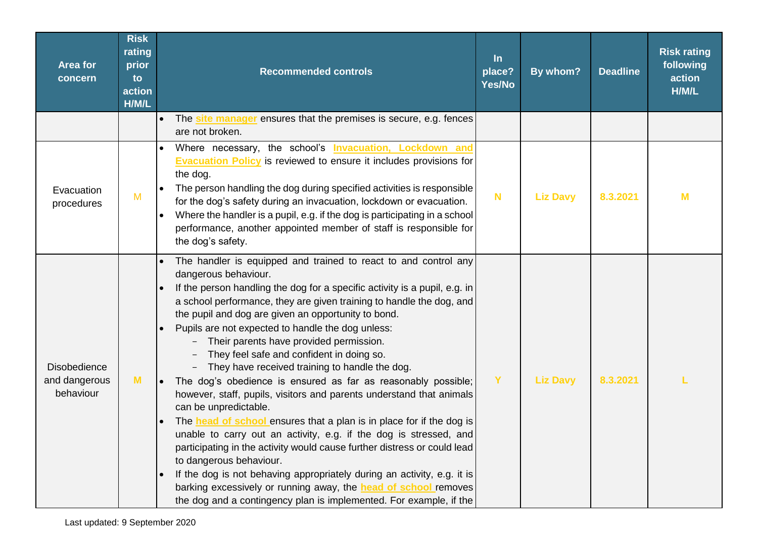| <b>Area for</b><br>concern                        | <b>Risk</b><br>rating<br>prior<br>to<br>action<br>H/M/L | <b>Recommended controls</b>                                                                                                                                                                                                                                                                                                                                                                                                                                                                                                                                                                                                                                                                                                                                                                                                                                                                                                                                                                                                                                                                                                                                         | $\ln$<br>place?<br>Yes/No | By whom?        | <b>Deadline</b> | <b>Risk rating</b><br>following<br>action<br>H/M/L |
|---------------------------------------------------|---------------------------------------------------------|---------------------------------------------------------------------------------------------------------------------------------------------------------------------------------------------------------------------------------------------------------------------------------------------------------------------------------------------------------------------------------------------------------------------------------------------------------------------------------------------------------------------------------------------------------------------------------------------------------------------------------------------------------------------------------------------------------------------------------------------------------------------------------------------------------------------------------------------------------------------------------------------------------------------------------------------------------------------------------------------------------------------------------------------------------------------------------------------------------------------------------------------------------------------|---------------------------|-----------------|-----------------|----------------------------------------------------|
|                                                   |                                                         | The site manager ensures that the premises is secure, e.g. fences<br>$\bullet$<br>are not broken.                                                                                                                                                                                                                                                                                                                                                                                                                                                                                                                                                                                                                                                                                                                                                                                                                                                                                                                                                                                                                                                                   |                           |                 |                 |                                                    |
| Evacuation<br>procedures                          | $M$                                                     | Where necessary, the school's Invacuation, Lockdown and<br><b>Evacuation Policy</b> is reviewed to ensure it includes provisions for<br>the dog.<br>The person handling the dog during specified activities is responsible<br>$\bullet$<br>for the dog's safety during an invacuation, lockdown or evacuation.<br>Where the handler is a pupil, e.g. if the dog is participating in a school<br>$\bullet$<br>performance, another appointed member of staff is responsible for<br>the dog's safety.                                                                                                                                                                                                                                                                                                                                                                                                                                                                                                                                                                                                                                                                 | $\mathbf N$               | <b>Liz Davy</b> | 8.3.2021        | M                                                  |
| <b>Disobedience</b><br>and dangerous<br>behaviour | M                                                       | The handler is equipped and trained to react to and control any<br>dangerous behaviour.<br>If the person handling the dog for a specific activity is a pupil, e.g. in<br>a school performance, they are given training to handle the dog, and<br>the pupil and dog are given an opportunity to bond.<br>Pupils are not expected to handle the dog unless:<br>Their parents have provided permission.<br>They feel safe and confident in doing so.<br>- They have received training to handle the dog.<br>The dog's obedience is ensured as far as reasonably possible;<br>$\bullet$<br>however, staff, pupils, visitors and parents understand that animals<br>can be unpredictable.<br>The head of school ensures that a plan is in place for if the dog is<br>unable to carry out an activity, e.g. if the dog is stressed, and<br>participating in the activity would cause further distress or could lead<br>to dangerous behaviour.<br>If the dog is not behaving appropriately during an activity, e.g. it is<br>barking excessively or running away, the <b>head of school</b> removes<br>the dog and a contingency plan is implemented. For example, if the | Y                         | <b>Liz Davy</b> | 8.3.2021        |                                                    |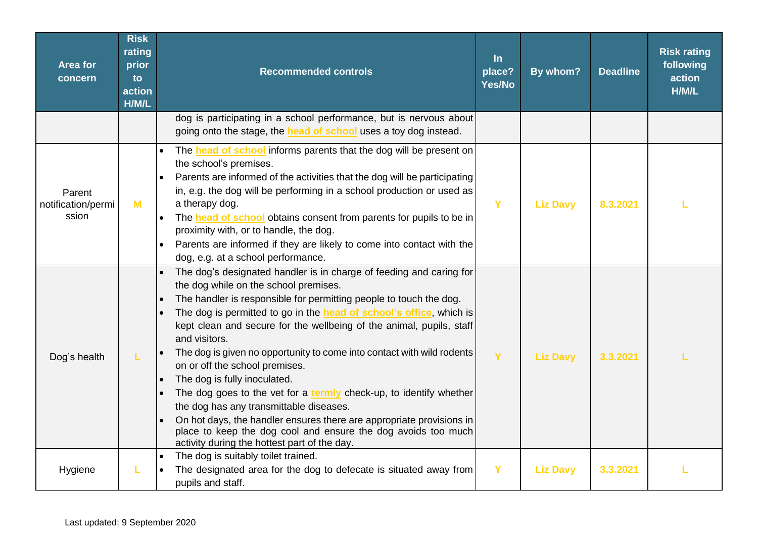| <b>Area for</b><br>concern            | <b>Risk</b><br>rating<br>prior<br>to<br>action<br>H/M/L | <b>Recommended controls</b>                                                                                                                                                                                                                                                                                                                                                                                                                                                                                                                                                                                                                                                                                                                                                                              | $\ln$<br>place?<br>Yes/No | By whom?        | <b>Deadline</b> | <b>Risk rating</b><br>following<br>action<br>H/M/L |
|---------------------------------------|---------------------------------------------------------|----------------------------------------------------------------------------------------------------------------------------------------------------------------------------------------------------------------------------------------------------------------------------------------------------------------------------------------------------------------------------------------------------------------------------------------------------------------------------------------------------------------------------------------------------------------------------------------------------------------------------------------------------------------------------------------------------------------------------------------------------------------------------------------------------------|---------------------------|-----------------|-----------------|----------------------------------------------------|
|                                       |                                                         | dog is participating in a school performance, but is nervous about<br>going onto the stage, the <b>head of school</b> uses a toy dog instead.                                                                                                                                                                                                                                                                                                                                                                                                                                                                                                                                                                                                                                                            |                           |                 |                 |                                                    |
| Parent<br>notification/permi<br>ssion | M                                                       | The <b>head of school</b> informs parents that the dog will be present on<br>the school's premises.<br>Parents are informed of the activities that the dog will be participating<br>in, e.g. the dog will be performing in a school production or used as<br>a therapy dog.<br>The <b>head of school</b> obtains consent from parents for pupils to be in<br>$\bullet$<br>proximity with, or to handle, the dog.<br>Parents are informed if they are likely to come into contact with the<br>dog, e.g. at a school performance.                                                                                                                                                                                                                                                                          | Y                         | <b>Liz Davy</b> | 8.3.2021        |                                                    |
| Dog's health                          | L                                                       | The dog's designated handler is in charge of feeding and caring for<br>the dog while on the school premises.<br>The handler is responsible for permitting people to touch the dog.<br>The dog is permitted to go in the head of school's office, which is<br>kept clean and secure for the wellbeing of the animal, pupils, staff<br>and visitors.<br>The dog is given no opportunity to come into contact with wild rodents<br>on or off the school premises.<br>The dog is fully inoculated.<br>The dog goes to the vet for a termly check-up, to identify whether<br>the dog has any transmittable diseases.<br>On hot days, the handler ensures there are appropriate provisions in<br>place to keep the dog cool and ensure the dog avoids too much<br>activity during the hottest part of the day. | Y                         | <b>Liz Davy</b> | 3.3.2021        |                                                    |
| Hygiene                               | L                                                       | The dog is suitably toilet trained.<br>$\bullet$<br>The designated area for the dog to defecate is situated away from<br>pupils and staff.                                                                                                                                                                                                                                                                                                                                                                                                                                                                                                                                                                                                                                                               | Y                         | <b>Liz Davy</b> | 3.3.2021        |                                                    |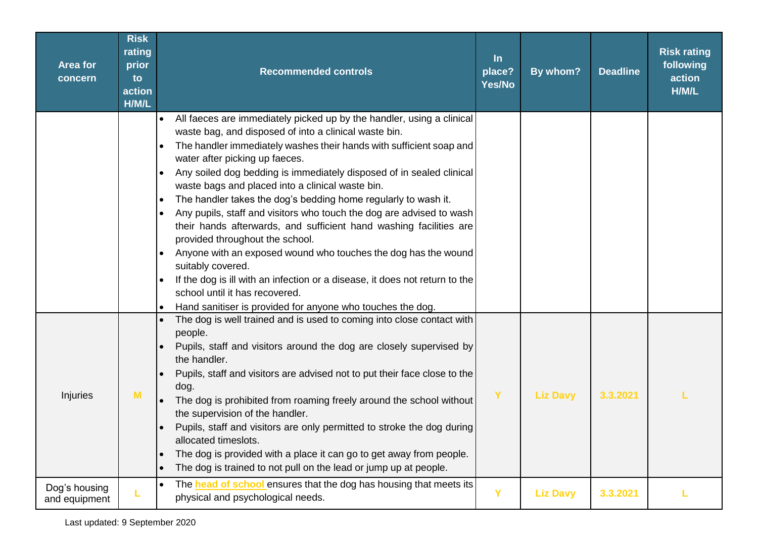| <b>Area for</b><br>concern     | <b>Risk</b><br>rating<br>prior<br>to<br>action<br>H/M/L | <b>Recommended controls</b>                                                                                                                                                                                                                                                                                                                                                                                                                                                                                                                                                                                                                                                                                                                                                                                                                                                                                                                      | $\ln$<br>place?<br>Yes/No | By whom?        | <b>Deadline</b> | <b>Risk rating</b><br>following<br>action<br>H/M/L |
|--------------------------------|---------------------------------------------------------|--------------------------------------------------------------------------------------------------------------------------------------------------------------------------------------------------------------------------------------------------------------------------------------------------------------------------------------------------------------------------------------------------------------------------------------------------------------------------------------------------------------------------------------------------------------------------------------------------------------------------------------------------------------------------------------------------------------------------------------------------------------------------------------------------------------------------------------------------------------------------------------------------------------------------------------------------|---------------------------|-----------------|-----------------|----------------------------------------------------|
|                                |                                                         | All faeces are immediately picked up by the handler, using a clinical<br>$\bullet$<br>waste bag, and disposed of into a clinical waste bin.<br>The handler immediately washes their hands with sufficient soap and<br>$\bullet$<br>water after picking up faeces.<br>Any soiled dog bedding is immediately disposed of in sealed clinical<br>$\bullet$<br>waste bags and placed into a clinical waste bin.<br>The handler takes the dog's bedding home regularly to wash it.<br>$\bullet$<br>Any pupils, staff and visitors who touch the dog are advised to wash<br>their hands afterwards, and sufficient hand washing facilities are<br>provided throughout the school.<br>Anyone with an exposed wound who touches the dog has the wound<br>suitably covered.<br>If the dog is ill with an infection or a disease, it does not return to the<br>school until it has recovered.<br>Hand sanitiser is provided for anyone who touches the dog. |                           |                 |                 |                                                    |
| Injuries                       | M                                                       | The dog is well trained and is used to coming into close contact with<br>people.<br>Pupils, staff and visitors around the dog are closely supervised by<br>the handler.<br>Pupils, staff and visitors are advised not to put their face close to the<br>dog.<br>The dog is prohibited from roaming freely around the school without<br>the supervision of the handler.<br>Pupils, staff and visitors are only permitted to stroke the dog during<br>$\bullet$<br>allocated timeslots.<br>The dog is provided with a place it can go to get away from people.<br>$\bullet$<br>The dog is trained to not pull on the lead or jump up at people.<br>$\bullet$                                                                                                                                                                                                                                                                                       | Y                         | <b>Liz Davy</b> | 3.3.2021        |                                                    |
| Dog's housing<br>and equipment | L                                                       | The head of school ensures that the dog has housing that meets its<br>$\bullet$<br>physical and psychological needs.                                                                                                                                                                                                                                                                                                                                                                                                                                                                                                                                                                                                                                                                                                                                                                                                                             | Y                         | <b>Liz Davy</b> | 3.3.2021        |                                                    |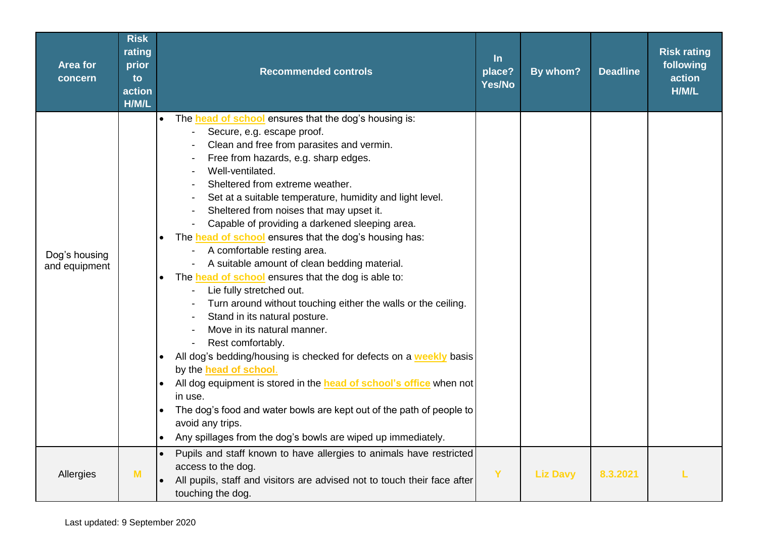| <b>Area for</b><br>concern     | <b>Risk</b><br>rating<br>prior<br>to<br>action<br>H/M/L | <b>Recommended controls</b>                                                                                                                                                                                                                                                                                                                                                                                                                                                                                                                                                                                                                                                                                                                                                                                                                                                                                                                                                                                                                                                                                                                                                                                             | $\ln$<br>place?<br>Yes/No | By whom?        | <b>Deadline</b> | <b>Risk rating</b><br>following<br>action<br>H/M/L |
|--------------------------------|---------------------------------------------------------|-------------------------------------------------------------------------------------------------------------------------------------------------------------------------------------------------------------------------------------------------------------------------------------------------------------------------------------------------------------------------------------------------------------------------------------------------------------------------------------------------------------------------------------------------------------------------------------------------------------------------------------------------------------------------------------------------------------------------------------------------------------------------------------------------------------------------------------------------------------------------------------------------------------------------------------------------------------------------------------------------------------------------------------------------------------------------------------------------------------------------------------------------------------------------------------------------------------------------|---------------------------|-----------------|-----------------|----------------------------------------------------|
| Dog's housing<br>and equipment |                                                         | The <b>head of school</b> ensures that the dog's housing is:<br>$\bullet$<br>Secure, e.g. escape proof.<br>Clean and free from parasites and vermin.<br>Free from hazards, e.g. sharp edges.<br>Well-ventilated.<br>Sheltered from extreme weather.<br>Set at a suitable temperature, humidity and light level.<br>Sheltered from noises that may upset it.<br>Capable of providing a darkened sleeping area.<br>The <b>head of school</b> ensures that the dog's housing has:<br>$\bullet$<br>A comfortable resting area.<br>A suitable amount of clean bedding material.<br>The <b>head of school</b> ensures that the dog is able to:<br>$\bullet$<br>Lie fully stretched out.<br>Turn around without touching either the walls or the ceiling.<br>Stand in its natural posture.<br>Move in its natural manner.<br>Rest comfortably.<br>All dog's bedding/housing is checked for defects on a weekly basis<br>by the <b>head of school</b> .<br>All dog equipment is stored in the head of school's office when not<br>in use.<br>The dog's food and water bowls are kept out of the path of people to<br>$\bullet$<br>avoid any trips.<br>Any spillages from the dog's bowls are wiped up immediately.<br>$\bullet$ |                           |                 |                 |                                                    |
| Allergies                      | M                                                       | Pupils and staff known to have allergies to animals have restricted<br>$\bullet$<br>access to the dog.<br>All pupils, staff and visitors are advised not to touch their face after<br>touching the dog.                                                                                                                                                                                                                                                                                                                                                                                                                                                                                                                                                                                                                                                                                                                                                                                                                                                                                                                                                                                                                 | Ÿ                         | <b>Liz Davy</b> | 8.3.2021        |                                                    |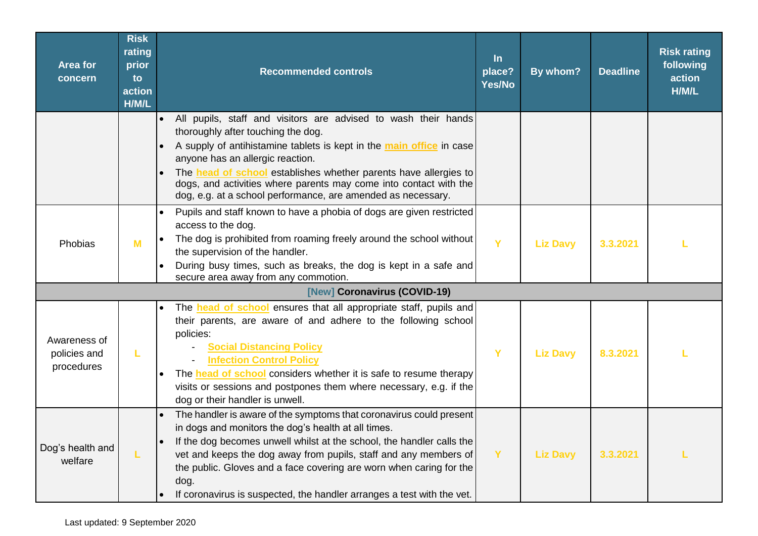| <b>Area for</b><br>concern                 | <b>Risk</b><br>rating<br>prior<br>to<br>action<br>H/M/L | <b>Recommended controls</b>                                                                                                                                                                                                                                                                                                                                                                                                                   | $\ln$<br>place?<br><b>Yes/No</b> | By whom?        | <b>Deadline</b> | <b>Risk rating</b><br>following<br>action<br>H/M/L |
|--------------------------------------------|---------------------------------------------------------|-----------------------------------------------------------------------------------------------------------------------------------------------------------------------------------------------------------------------------------------------------------------------------------------------------------------------------------------------------------------------------------------------------------------------------------------------|----------------------------------|-----------------|-----------------|----------------------------------------------------|
|                                            |                                                         | All pupils, staff and visitors are advised to wash their hands<br>thoroughly after touching the dog.<br>A supply of antihistamine tablets is kept in the main office in case<br>anyone has an allergic reaction.<br>The <b>head of school</b> establishes whether parents have allergies to<br>dogs, and activities where parents may come into contact with the<br>dog, e.g. at a school performance, are amended as necessary.              |                                  |                 |                 |                                                    |
| Phobias                                    | M                                                       | Pupils and staff known to have a phobia of dogs are given restricted<br>access to the dog.<br>The dog is prohibited from roaming freely around the school without<br>the supervision of the handler.<br>During busy times, such as breaks, the dog is kept in a safe and<br>secure area away from any commotion.                                                                                                                              | Y                                | <b>Liz Davy</b> | 3.3.2021        |                                                    |
|                                            |                                                         | [New] Coronavirus (COVID-19)                                                                                                                                                                                                                                                                                                                                                                                                                  |                                  |                 |                 |                                                    |
| Awareness of<br>policies and<br>procedures | L                                                       | The <b>head of school</b> ensures that all appropriate staff, pupils and<br>their parents, are aware of and adhere to the following school<br>policies:<br><b>Social Distancing Policy</b><br><b>Infection Control Policy</b><br>The <b>head of school</b> considers whether it is safe to resume therapy<br>visits or sessions and postpones them where necessary, e.g. if the<br>dog or their handler is unwell.                            | Y                                | <b>Liz Davy</b> | 8.3.2021        |                                                    |
| Dog's health and<br>welfare                |                                                         | The handler is aware of the symptoms that coronavirus could present<br>in dogs and monitors the dog's health at all times.<br>If the dog becomes unwell whilst at the school, the handler calls the<br>$\bullet$<br>vet and keeps the dog away from pupils, staff and any members of<br>the public. Gloves and a face covering are worn when caring for the<br>dog.<br>If coronavirus is suspected, the handler arranges a test with the vet. | Y                                | <b>Liz Davy</b> | 3.3.2021        |                                                    |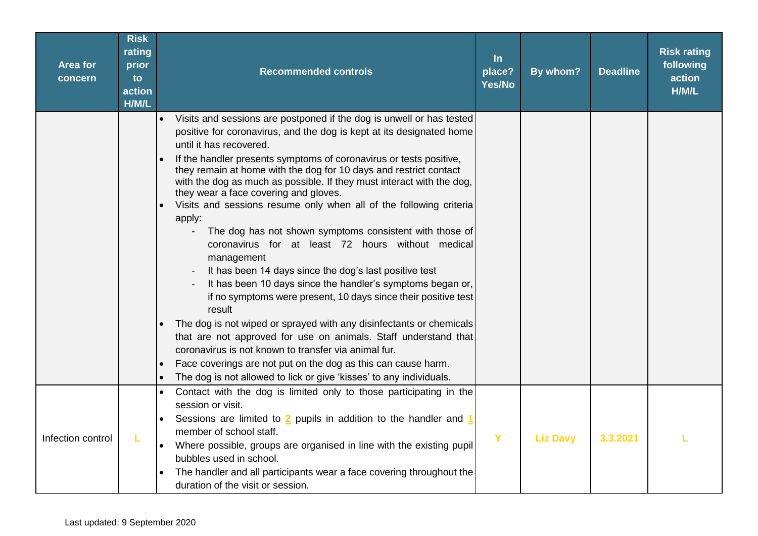| <b>Area for</b><br>concern | <b>Risk</b><br>rating<br>prior<br>to<br>action<br>H/M/L | <b>Recommended controls</b>                                                                                                                                                                                                                                                                                                                                                                                                                                                                                                                                                                                                                                                                                                                                                                                                                                                                                                                                                                                                                                                                                                                                                                      | $\ln$<br>place?<br>Yes/No | By whom?        | <b>Deadline</b> | <b>Risk rating</b><br>following<br>action<br>H/M/L |
|----------------------------|---------------------------------------------------------|--------------------------------------------------------------------------------------------------------------------------------------------------------------------------------------------------------------------------------------------------------------------------------------------------------------------------------------------------------------------------------------------------------------------------------------------------------------------------------------------------------------------------------------------------------------------------------------------------------------------------------------------------------------------------------------------------------------------------------------------------------------------------------------------------------------------------------------------------------------------------------------------------------------------------------------------------------------------------------------------------------------------------------------------------------------------------------------------------------------------------------------------------------------------------------------------------|---------------------------|-----------------|-----------------|----------------------------------------------------|
|                            |                                                         | Visits and sessions are postponed if the dog is unwell or has tested<br>positive for coronavirus, and the dog is kept at its designated home<br>until it has recovered.<br>If the handler presents symptoms of coronavirus or tests positive,<br>they remain at home with the dog for 10 days and restrict contact<br>with the dog as much as possible. If they must interact with the dog,<br>they wear a face covering and gloves.<br>Visits and sessions resume only when all of the following criteria<br>apply:<br>The dog has not shown symptoms consistent with those of<br>coronavirus for at least 72 hours without medical<br>management<br>It has been 14 days since the dog's last positive test<br>It has been 10 days since the handler's symptoms began or,<br>if no symptoms were present, 10 days since their positive test<br>result<br>The dog is not wiped or sprayed with any disinfectants or chemicals<br>that are not approved for use on animals. Staff understand that<br>coronavirus is not known to transfer via animal fur.<br>Face coverings are not put on the dog as this can cause harm.<br>The dog is not allowed to lick or give 'kisses' to any individuals. |                           |                 |                 |                                                    |
| Infection control          | L                                                       | Contact with the dog is limited only to those participating in the<br>$\bullet$<br>session or visit.<br>Sessions are limited to 2 pupils in addition to the handler and 1<br>member of school staff.<br>Where possible, groups are organised in line with the existing pupil<br>bubbles used in school.<br>The handler and all participants wear a face covering throughout the<br>duration of the visit or session.                                                                                                                                                                                                                                                                                                                                                                                                                                                                                                                                                                                                                                                                                                                                                                             | Y                         | <b>Liz Davy</b> | 3.3.2021        |                                                    |